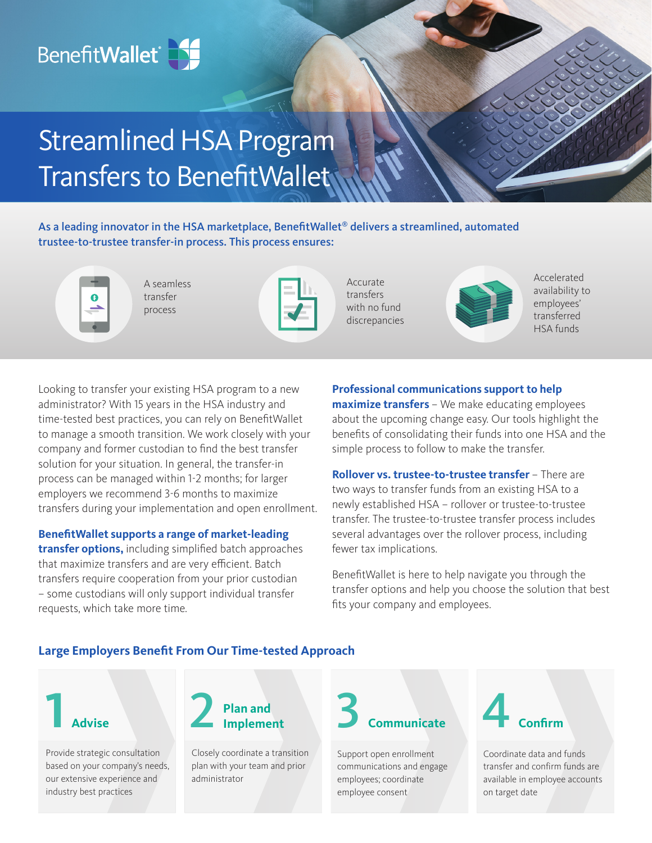# BenefitWallet<sup>®</sup>

# Streamlined HSA Program Transfers to BenefitWallet

As a leading innovator in the HSA marketplace, BenefitWallet<sup>®</sup> delivers a streamlined, automated trustee-to-trustee transfer-in process. This process ensures:



A seamless transfer process

Accurate transfers with no fund discrepancies



Accelerated availability to employees' transferred HSA funds

Looking to transfer your existing HSA program to a new administrator? With 15 years in the HSA industry and time-tested best practices, you can rely on BenefitWallet to manage a smooth transition. We work closely with your company and former custodian to find the best transfer solution for your situation. In general, the transfer-in process can be managed within 1-2 months; for larger employers we recommend 3-6 months to maximize transfers during your implementation and open enrollment.

**BenefitWallet supports a range of market-leading** 

**transfer options,** including simplified batch approaches that maximize transfers and are very efficient. Batch transfers require cooperation from your prior custodian – some custodians will only support individual transfer requests, which take more time.

**Professional communications support to help maximize transfers** – We make educating employees about the upcoming change easy. Our tools highlight the benefits of consolidating their funds into one HSA and the simple process to follow to make the transfer.

**Rollover vs. trustee-to-trustee transfer** – There are two ways to transfer funds from an existing HSA to a newly established HSA – rollover or trustee-to-trustee transfer. The trustee-to-trustee transfer process includes several advantages over the rollover process, including fewer tax implications.

BenefitWallet is here to help navigate you through the transfer options and help you choose the solution that best fits your company and employees.

# **Large Employers Benefit From Our Time-tested Approach**



Provide strategic consultation based on your company's needs, our extensive experience and industry best practices



Closely coordinate a transition plan with your team and prior administrator



Support open enrollment communications and engage employees; coordinate employee consent



Coordinate data and funds transfer and confirm funds are available in employee accounts on target date